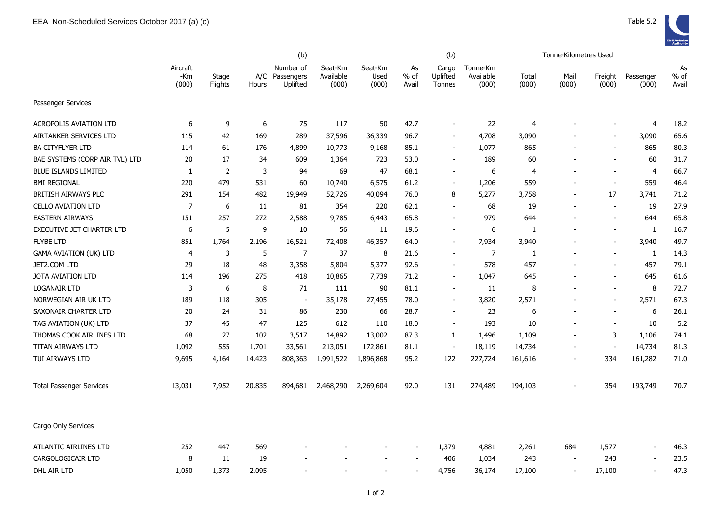|                                 |                          | (b)              |        |                                         |                               |                          | (b)                   |                             |                                |                | Tonne-Kilometres Used |                          |                    |                       |
|---------------------------------|--------------------------|------------------|--------|-----------------------------------------|-------------------------------|--------------------------|-----------------------|-----------------------------|--------------------------------|----------------|-----------------------|--------------------------|--------------------|-----------------------|
|                                 | Aircraft<br>-Km<br>(000) | Stage<br>Flights | Hours  | Number of<br>A/C Passengers<br>Uplifted | Seat-Km<br>Available<br>(000) | Seat-Km<br>Used<br>(000) | As<br>$%$ of<br>Avail | Cargo<br>Uplifted<br>Tonnes | Tonne-Km<br>Available<br>(000) | Total<br>(000) | Mail<br>(000)         | Freight<br>(000)         | Passenger<br>(000) | As<br>$%$ of<br>Avail |
| Passenger Services              |                          |                  |        |                                         |                               |                          |                       |                             |                                |                |                       |                          |                    |                       |
| <b>ACROPOLIS AVIATION LTD</b>   | 6                        | 9                | 6      | 75                                      | 117                           | 50                       | 42.7                  | $\blacksquare$              | 22                             | $\overline{4}$ |                       | $\overline{\phantom{a}}$ | $\overline{4}$     | 18.2                  |
| AIRTANKER SERVICES LTD          | 115                      | 42               | 169    | 289                                     | 37,596                        | 36,339                   | 96.7                  | $\blacksquare$              | 4,708                          | 3,090          |                       | $\overline{\phantom{a}}$ | 3,090              | 65.6                  |
| <b>BA CITYFLYER LTD</b>         | 114                      | 61               | 176    | 4,899                                   | 10,773                        | 9,168                    | 85.1                  | $\blacksquare$              | 1,077                          | 865            |                       | $\blacksquare$           | 865                | 80.3                  |
| BAE SYSTEMS (CORP AIR TVL) LTD  | 20                       | 17               | 34     | 609                                     | 1,364                         | 723                      | 53.0                  | $\overline{\phantom{a}}$    | 189                            | 60             |                       | $\overline{\phantom{a}}$ | 60                 | 31.7                  |
| <b>BLUE ISLANDS LIMITED</b>     | 1                        | 2                | 3      | 94                                      | 69                            | 47                       | 68.1                  | $\overline{\phantom{a}}$    | 6                              | $\overline{4}$ |                       | $\overline{\phantom{a}}$ | $\overline{4}$     | 66.7                  |
| <b>BMI REGIONAL</b>             | 220                      | 479              | 531    | 60                                      | 10,740                        | 6,575                    | 61.2                  | $\overline{\phantom{a}}$    | 1,206                          | 559            |                       | $\overline{\phantom{a}}$ | 559                | 46.4                  |
| BRITISH AIRWAYS PLC             | 291                      | 154              | 482    | 19,949                                  | 52,726                        | 40,094                   | 76.0                  | 8                           | 5,277                          | 3,758          |                       | 17                       | 3,741              | 71.2                  |
| <b>CELLO AVIATION LTD</b>       | $\overline{7}$           | 6                | 11     | 81                                      | 354                           | 220                      | 62.1                  | $\sim$                      | 68                             | 19             |                       | $\sim$                   | 19                 | 27.9                  |
| <b>EASTERN AIRWAYS</b>          | 151                      | 257              | 272    | 2,588                                   | 9,785                         | 6,443                    | 65.8                  | $\overline{\phantom{a}}$    | 979                            | 644            |                       | $\overline{\phantom{a}}$ | 644                | 65.8                  |
| EXECUTIVE JET CHARTER LTD       | 6                        | 5                | 9      | 10                                      | 56                            | 11                       | 19.6                  | $\overline{\phantom{a}}$    | 6                              | 1              |                       | $\blacksquare$           | 1                  | 16.7                  |
| <b>FLYBE LTD</b>                | 851                      | 1,764            | 2,196  | 16,521                                  | 72,408                        | 46,357                   | 64.0                  | $\overline{a}$              | 7,934                          | 3,940          |                       | $\blacksquare$           | 3,940              | 49.7                  |
| GAMA AVIATION (UK) LTD          | $\overline{4}$           | 3                | 5      | $\overline{7}$                          | 37                            | 8                        | 21.6                  | $\blacksquare$              | $\overline{7}$                 | 1              |                       | $\overline{\phantom{a}}$ | -1                 | 14.3                  |
| JET2.COM LTD                    | 29                       | 18               | 48     | 3,358                                   | 5,804                         | 5,377                    | 92.6                  | $\sim$                      | 578                            | 457            |                       | $\overline{\phantom{a}}$ | 457                | 79.1                  |
| JOTA AVIATION LTD               | 114                      | 196              | 275    | 418                                     | 10,865                        | 7,739                    | 71.2                  | $\blacksquare$              | 1,047                          | 645            |                       | $\sim$                   | 645                | 61.6                  |
| LOGANAIR LTD                    | 3                        | 6                | 8      | 71                                      | 111                           | 90                       | 81.1                  |                             | 11                             | 8              |                       | $\blacksquare$           | 8                  | 72.7                  |
| NORWEGIAN AIR UK LTD            | 189                      | 118              | 305    | $\blacksquare$                          | 35,178                        | 27,455                   | 78.0                  | $\blacksquare$              | 3,820                          | 2,571          |                       | $\overline{\phantom{a}}$ | 2,571              | 67.3                  |
| SAXONAIR CHARTER LTD            | 20                       | 24               | 31     | 86                                      | 230                           | 66                       | 28.7                  | $\blacksquare$              | 23                             | 6              |                       | $\overline{\phantom{a}}$ | 6                  | 26.1                  |
| TAG AVIATION (UK) LTD           | 37                       | 45               | 47     | 125                                     | 612                           | 110                      | 18.0                  | $\overline{\phantom{a}}$    | 193                            | 10             |                       | $\overline{\phantom{a}}$ | 10                 | 5.2                   |
| THOMAS COOK AIRLINES LTD        | 68                       | 27               | 102    | 3,517                                   | 14,892                        | 13,002                   | 87.3                  | 1                           | 1,496                          | 1,109          |                       | 3                        | 1,106              | 74.1                  |
| TITAN AIRWAYS LTD               | 1,092                    | 555              | 1,701  | 33,561                                  | 213,051                       | 172,861                  | 81.1                  | $\blacksquare$              | 18,119                         | 14,734         |                       | $\blacksquare$           | 14,734             | 81.3                  |
| TUI AIRWAYS LTD                 | 9,695                    | 4,164            | 14,423 | 808,363                                 | 1,991,522                     | 1,896,868                | 95.2                  | 122                         | 227,724                        | 161,616        |                       | 334                      | 161,282            | 71.0                  |
| <b>Total Passenger Services</b> | 13,031                   | 7,952            | 20,835 | 894,681                                 | 2,468,290                     | 2,269,604                | 92.0                  | 131                         | 274,489                        | 194,103        |                       | 354                      | 193,749            | 70.7                  |
| Cargo Only Services             |                          |                  |        |                                         |                               |                          |                       |                             |                                |                |                       |                          |                    |                       |
| ATLANTIC AIRLINES LTD           | 252                      | 447              | 569    |                                         |                               |                          |                       | 1,379                       | 4,881                          | 2,261          | 684                   | 1,577                    |                    | 46.3                  |
| CARGOLOGICAIR LTD               | 8                        | 11               | 19     |                                         |                               |                          |                       | 406                         | 1,034                          | 243            |                       | 243                      |                    | 23.5                  |
| DHL AIR LTD                     | 1,050                    | 1.373            | 2,095  |                                         |                               |                          |                       | 4,756                       | 36,174                         | 17,100         |                       | 17,100                   |                    | 47.3                  |